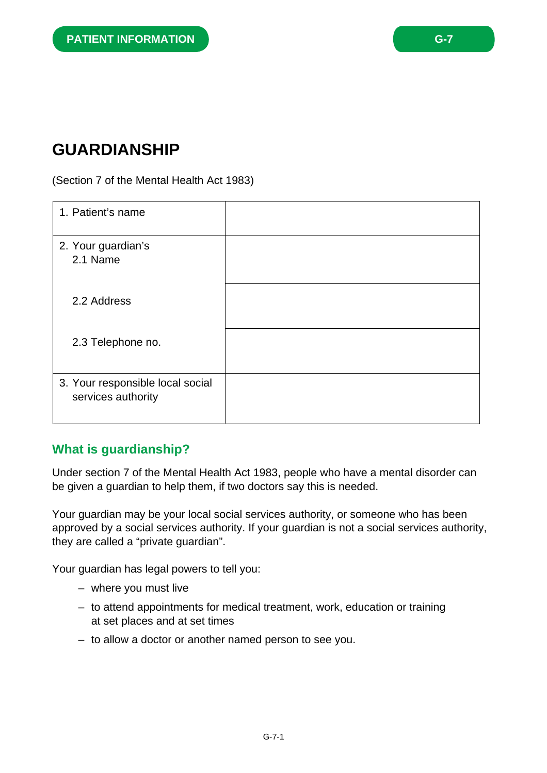# **GUARDIANSHIP**

#### (Section 7 of the Mental Health Act 1983)

| 1. Patient's name                                      |  |
|--------------------------------------------------------|--|
| 2. Your guardian's<br>2.1 Name                         |  |
| 2.2 Address                                            |  |
| 2.3 Telephone no.                                      |  |
| 3. Your responsible local social<br>services authority |  |

#### **What is guardianship?**

Under section 7 of the Mental Health Act 1983, people who have a mental disorder can be given a guardian to help them, if two doctors say this is needed.

Your guardian may be your local social services authority, or someone who has been approved by a social services authority. If your guardian is not a social services authority, they are called a "private guardian".

Your guardian has legal powers to tell you:

- where you must live
- to attend appointments for medical treatment, work, education or training at set places and at set times
- to allow a doctor or another named person to see you.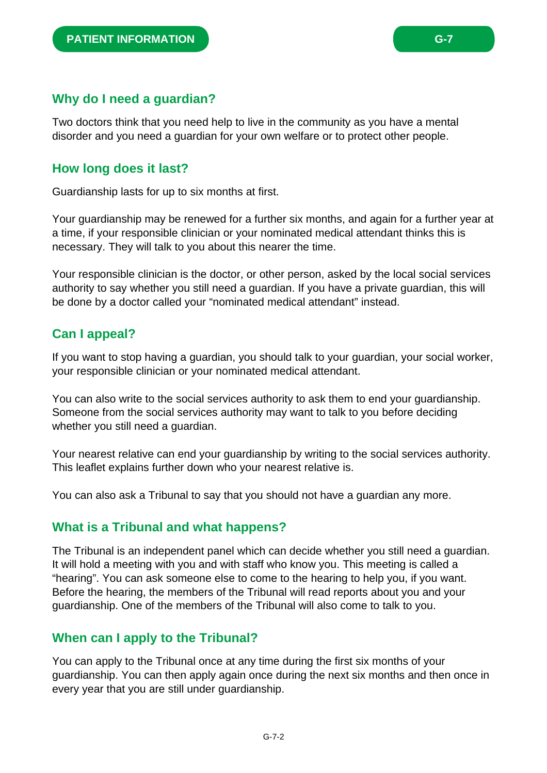Two doctors think that you need help to live in the community as you have a mental disorder and you need a guardian for your own welfare or to protect other people.

#### **How long does it last?**

Guardianship lasts for up to six months at first.

Your guardianship may be renewed for a further six months, and again for a further year at a time, if your responsible clinician or your nominated medical attendant thinks this is necessary. They will talk to you about this nearer the time.

Your responsible clinician is the doctor, or other person, asked by the local social services authority to say whether you still need a guardian. If you have a private guardian, this will be done by a doctor called your "nominated medical attendant" instead.

# **Can I appeal?**

If you want to stop having a guardian, you should talk to your guardian, your social worker, your responsible clinician or your nominated medical attendant.

You can also write to the social services authority to ask them to end your guardianship. Someone from the social services authority may want to talk to you before deciding whether you still need a guardian.

Your nearest relative can end your guardianship by writing to the social services authority. This leaflet explains further down who your nearest relative is.

You can also ask a Tribunal to say that you should not have a guardian any more.

#### **What is a Tribunal and what happens?**

The Tribunal is an independent panel which can decide whether you still need a guardian. It will hold a meeting with you and with staff who know you. This meeting is called a "hearing". You can ask someone else to come to the hearing to help you, if you want. Before the hearing, the members of the Tribunal will read reports about you and your guardianship. One of the members of the Tribunal will also come to talk to you.

#### **When can I apply to the Tribunal?**

You can apply to the Tribunal once at any time during the first six months of your guardianship. You can then apply again once during the next six months and then once in every year that you are still under guardianship.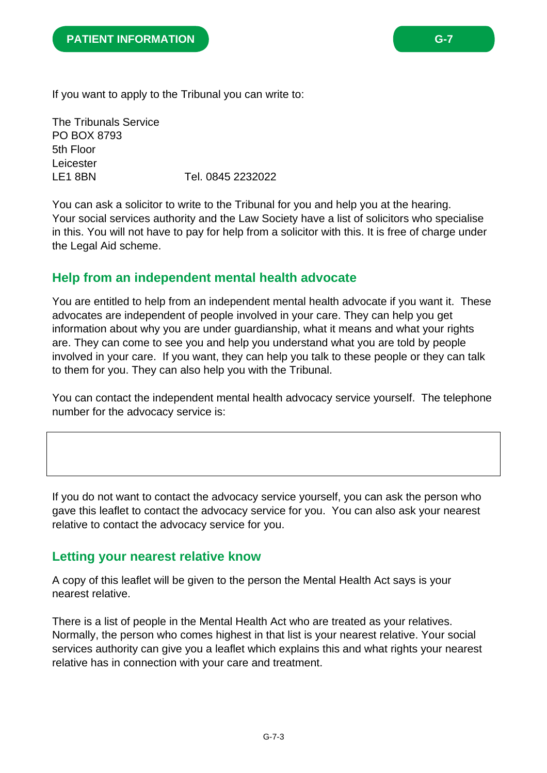If you want to apply to the Tribunal you can write to:

The Tribunals Service PO BOX 8793 5th Floor Leicester LE1 8BN Tel. 0845 2232022

You can ask a solicitor to write to the Tribunal for you and help you at the hearing. Your social services authority and the Law Society have a list of solicitors who specialise in this. You will not have to pay for help from a solicitor with this. It is free of charge under the Legal Aid scheme.

### **Help from an independent mental health advocate**

You are entitled to help from an independent mental health advocate if you want it. These advocates are independent of people involved in your care. They can help you get information about why you are under guardianship, what it means and what your rights are. They can come to see you and help you understand what you are told by people involved in your care. If you want, they can help you talk to these people or they can talk to them for you. They can also help you with the Tribunal.

You can contact the independent mental health advocacy service yourself. The telephone number for the advocacy service is:

If you do not want to contact the advocacy service yourself, you can ask the person who gave this leaflet to contact the advocacy service for you. You can also ask your nearest relative to contact the advocacy service for you.

#### **Letting your nearest relative know**

A copy of this leaflet will be given to the person the Mental Health Act says is your nearest relative.

There is a list of people in the Mental Health Act who are treated as your relatives. Normally, the person who comes highest in that list is your nearest relative. Your social services authority can give you a leaflet which explains this and what rights your nearest relative has in connection with your care and treatment.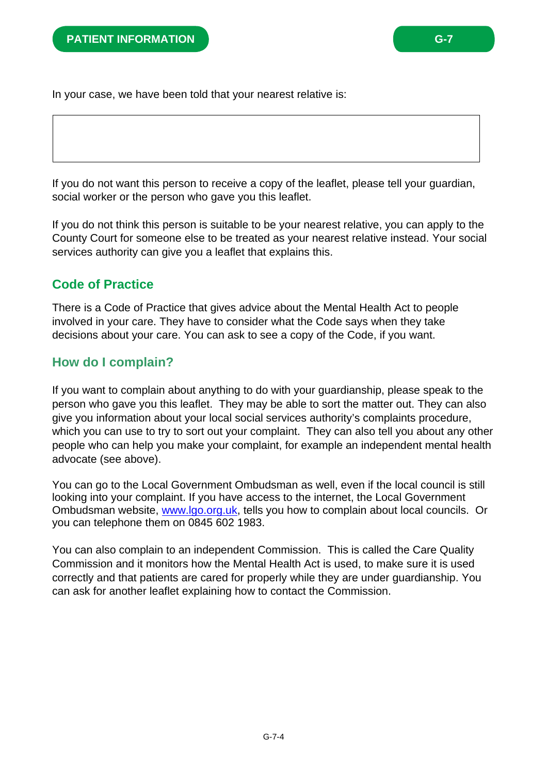In your case, we have been told that your nearest relative is:

If you do not want this person to receive a copy of the leaflet, please tell your guardian, social worker or the person who gave you this leaflet.

If you do not think this person is suitable to be your nearest relative, you can apply to the County Court for someone else to be treated as your nearest relative instead. Your social services authority can give you a leaflet that explains this.

#### **Code of Practice**

There is a Code of Practice that gives advice about the Mental Health Act to people involved in your care. They have to consider what the Code says when they take decisions about your care. You can ask to see a copy of the Code, if you want.

### **How do I complain?**

If you want to complain about anything to do with your guardianship, please speak to the person who gave you this leaflet. They may be able to sort the matter out. They can also give you information about your local social services authority's complaints procedure, which you can use to try to sort out your complaint. They can also tell you about any other people who can help you make your complaint, for example an independent mental health advocate (see above).

You can go to the Local Government Ombudsman as well, even if the local council is still looking into your complaint. If you have access to the internet, the Local Government Ombudsman website, www.lgo.org.uk, tells you how to complain about local councils. Or you can telephone them on 0845 602 1983.

You can also complain to an independent Commission. This is called the Care Quality Commission and it monitors how the Mental Health Act is used, to make sure it is used correctly and that patients are cared for properly while they are under guardianship. You can ask for another leaflet explaining how to contact the Commission.